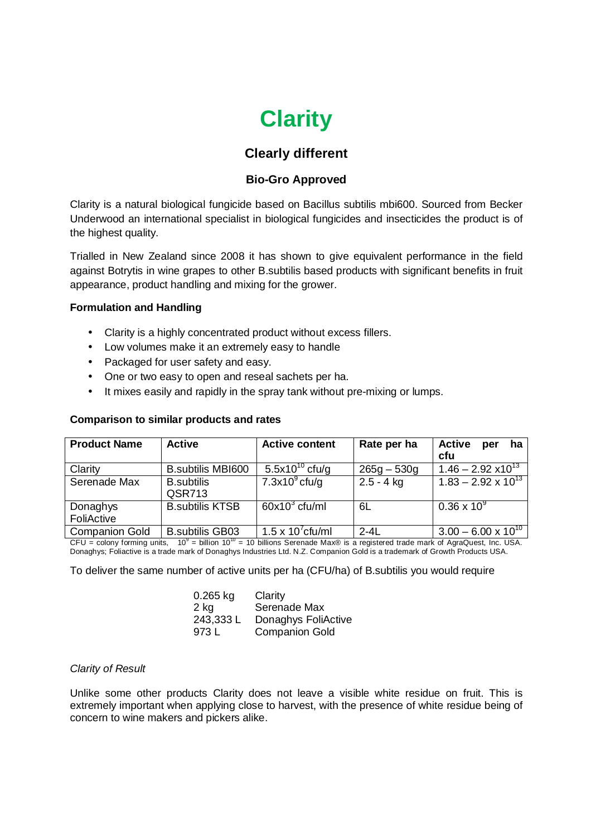# **Clarity**

# **Clearly different**

## **Bio-Gro Approved**

Clarity is a natural biological fungicide based on Bacillus subtilis mbi600. Sourced from Becker Underwood an international specialist in biological fungicides and insecticides the product is of the highest quality.

Trialled in New Zealand since 2008 it has shown to give equivalent performance in the field against Botrytis in wine grapes to other B.subtilis based products with significant benefits in fruit appearance, product handling and mixing for the grower.

### **Formulation and Handling**

- Clarity is a highly concentrated product without excess fillers.
- Low volumes make it an extremely easy to handle
- Packaged for user safety and easy.
- One or two easy to open and reseal sachets per ha.
- It mixes easily and rapidly in the spray tank without pre-mixing or lumps.

### **Comparison to similar products and rates**

| <b>Product Name</b>   | <b>Active</b>            | <b>Active content</b>      | Rate per ha   | <b>Active</b><br>ha<br>per   |
|-----------------------|--------------------------|----------------------------|---------------|------------------------------|
|                       |                          |                            |               | cfu                          |
| Clarity               | <b>B.subtilis MBI600</b> | 5.5x10 <sup>10</sup> cfu/g | $265g - 530g$ | $1.46 - 2.92 \times 10^{13}$ |
| Serenade Max          | <b>B.subtilis</b>        | $7.3x109$ cfu/g            | $2.5 - 4$ kg  | $1.83 - 2.92 \times 10^{13}$ |
|                       | QSR713                   |                            |               |                              |
| Donaghys              | <b>B.subtilis KTSB</b>   | $60x10^3$ cfu/ml           | 6L            | $0.36 \times 10^{9}$         |
| FoliActive            |                          |                            |               |                              |
| <b>Companion Gold</b> | <b>B.subtilis GB03</b>   | 1.5 x $10^7$ cfu/ml        | $2 - 4L$      | $3.00 - 6.00 \times 10^{10}$ |

CFU = colony forming units,  $10^9$  = billion 10<sup>10</sup> = 10 billions Serenade Max® is a registered trade mark of AgraQuest, Inc. USA. Donaghys; Foliactive is a trade mark of Donaghys Industries Ltd. N.Z. Companion Gold is a trademark of Growth Products USA.

To deliver the same number of active units per ha (CFU/ha) of B.subtilis you would require

| $0.265$ kg | Clarity               |
|------------|-----------------------|
| 2 kg       | Serenade Max          |
| 243,333 L  | Donaghys FoliActive   |
| 973 L      | <b>Companion Gold</b> |

### *Clarity of Result*

Unlike some other products Clarity does not leave a visible white residue on fruit. This is extremely important when applying close to harvest, with the presence of white residue being of concern to wine makers and pickers alike.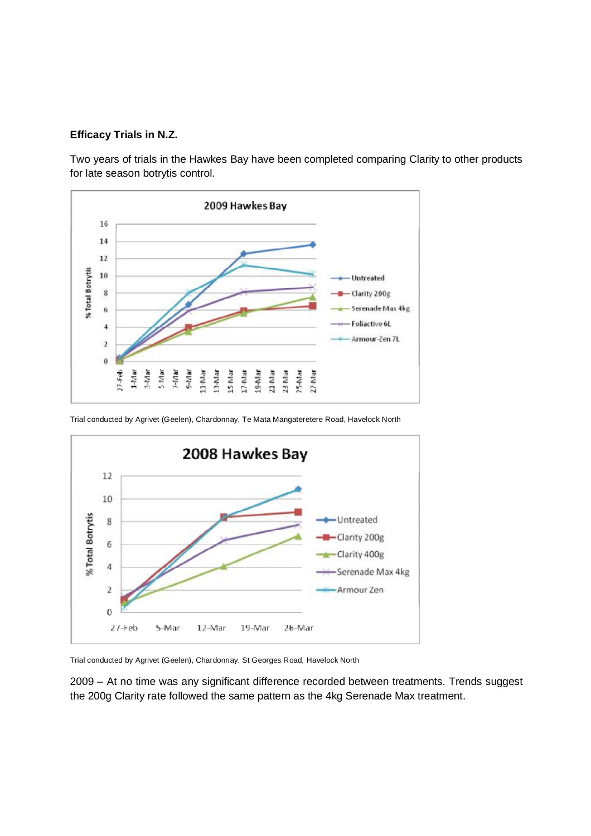#### **Efficacy Trials in N.Z.**

Two years of trials in the Hawkes Bay have been completed comparing Clarity to other products for late season botrytis control.



Trial conducted by Agrivet (Geelen), Chardonnay, Te Mata Mangateretere Road, Havelock North



Trial conducted by Agrivet (Geelen), Chardonnay, St Georges Road, Havelock North

2009 – At no time was any significant difference recorded between treatments. Trends suggest the 200g Clarity rate followed the same pattern as the 4kg Serenade Max treatment.